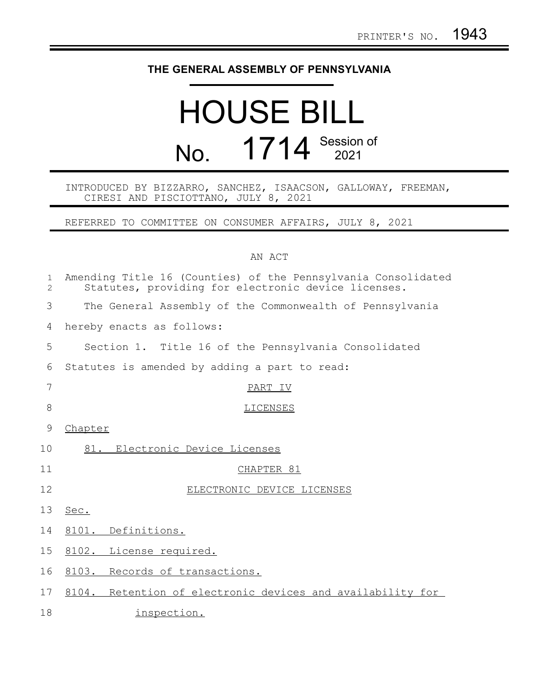## **THE GENERAL ASSEMBLY OF PENNSYLVANIA**

## HOUSE BILL No. 1714 Session of

INTRODUCED BY BIZZARRO, SANCHEZ, ISAACSON, GALLOWAY, FREEMAN, CIRESI AND PISCIOTTANO, JULY 8, 2021

REFERRED TO COMMITTEE ON CONSUMER AFFAIRS, JULY 8, 2021

## AN ACT

| $\mathbf 1$<br>$\overline{2}$ | Amending Title 16 (Counties) of the Pennsylvania Consolidated<br>Statutes, providing for electronic device licenses. |
|-------------------------------|----------------------------------------------------------------------------------------------------------------------|
| 3                             | The General Assembly of the Commonwealth of Pennsylvania                                                             |
| 4                             | hereby enacts as follows:                                                                                            |
| 5                             | Section 1. Title 16 of the Pennsylvania Consolidated                                                                 |
| 6                             | Statutes is amended by adding a part to read:                                                                        |
| 7                             | PART IV                                                                                                              |
| 8                             | <b>LICENSES</b>                                                                                                      |
| 9                             | Chapter                                                                                                              |
| 10 <sup>°</sup>               | Electronic Device Licenses<br>81.                                                                                    |
| 11                            | CHAPTER 81                                                                                                           |
| 12                            | ELECTRONIC DEVICE LICENSES                                                                                           |
| 13                            | Sec.                                                                                                                 |
| 14                            | 8101. Definitions.                                                                                                   |
| 15                            | 8102. License required.                                                                                              |
| 16                            | 8103. Records of transactions.                                                                                       |
| 17                            | 8104. Retention of electronic devices and availability for                                                           |
| 18                            | inspection.                                                                                                          |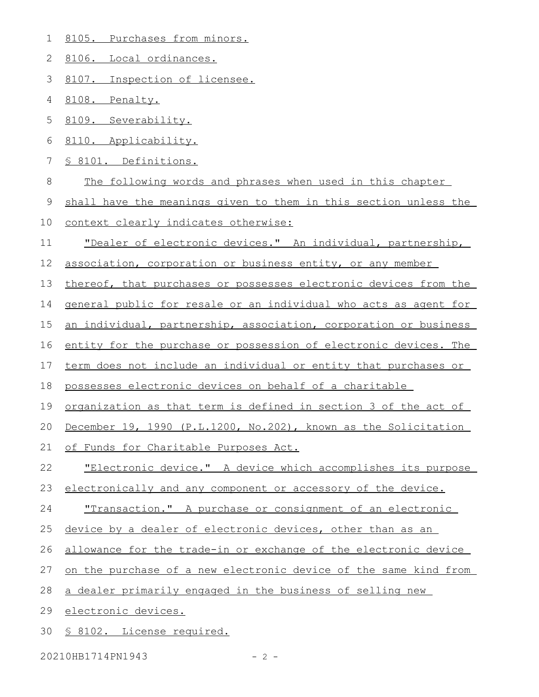8105. Purchases from minors. 1

8106. Local ordinances. 2

8107. Inspection of licensee. 3

8108. Penalty. 4

8109. Severability. 5

8110. Applicability. 6

§ 8101. Definitions. 7

The following words and phrases when used in this chapter 8

shall have the meanings given to them in this section unless the 9

- context clearly indicates otherwise: 10
- "Dealer of electronic devices." An individual, partnership, 11
- association, corporation or business entity, or any member 12

thereof, that purchases or possesses electronic devices from the 13

general public for resale or an individual who acts as agent for 14

an individual, partnership, association, corporation or business 15

entity for the purchase or possession of electronic devices. The 16

term does not include an individual or entity that purchases or 17

possesses electronic devices on behalf of a charitable 18

organization as that term is defined in section 3 of the act of 19

December 19, 1990 (P.L.1200, No.202), known as the Solicitation 20

of Funds for Charitable Purposes Act. 21

"Electronic device." A device which accomplishes its purpose 22

electronically and any component or accessory of the device. 23

 "Transaction." A purchase or consignment of an electronic 24

device by a dealer of electronic devices, other than as an 25

allowance for the trade-in or exchange of the electronic device 26

on the purchase of a new electronic device of the same kind from 27

a dealer primarily engaged in the business of selling new 28

 electronic devices. 29

§ 8102. License required. 30

20210HB1714PN1943 - 2 -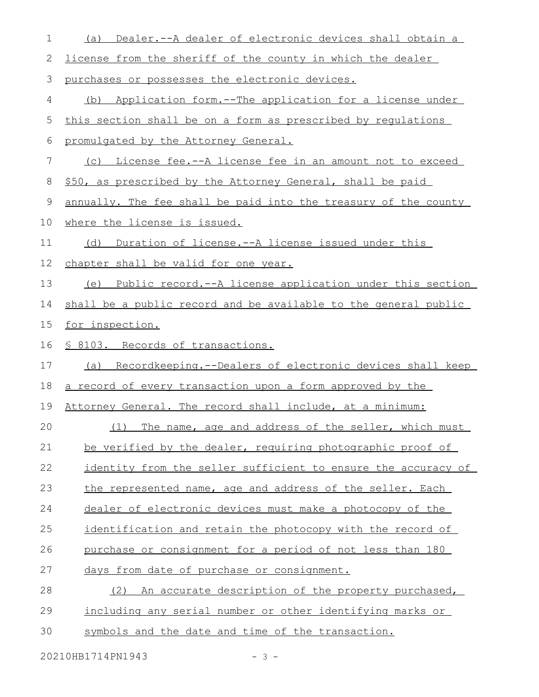| $\mathbf 1$ | (a) Dealer.--A dealer of electronic devices shall obtain a      |
|-------------|-----------------------------------------------------------------|
| 2           | license from the sheriff of the county in which the dealer      |
| 3           | purchases or possesses the electronic devices.                  |
| 4           | (b) Application form.--The application for a license under      |
| 5           | this section shall be on a form as prescribed by requlations    |
| 6           | promulgated by the Attorney General.                            |
| 7           | (c) License fee.--A license fee in an amount not to exceed      |
| $\,8\,$     | \$50, as prescribed by the Attorney General, shall be paid      |
| 9           | annually. The fee shall be paid into the treasury of the county |
| 10          | where the license is issued.                                    |
| 11          | (d) Duration of license.--A license issued under this           |
| 12          | chapter shall be valid for one year.                            |
| 13          | (e) Public record.--A license application under this section    |
| 14          | shall be a public record and be available to the general public |
| 15          | for inspection.                                                 |
| 16          | § 8103. Records of transactions.                                |
| 17          | (a) Recordkeeping.--Dealers of electronic devices shall keep    |
|             |                                                                 |
| 18          | a record of every transaction upon a form approved by the       |
| 19          | Attorney General. The record shall include, at a minimum:       |
| 20          | The name, age and address of the seller, which must<br>(1)      |
| 21          | be verified by the dealer, requiring photographic proof of      |
| 22          | identity from the seller sufficient to ensure the accuracy of   |
| 23          | the represented name, age and address of the seller. Each       |
| 24          | dealer of electronic devices must make a photocopy of the       |
| 25          | identification and retain the photocopy with the record of      |
| 26          | purchase or consignment for a period of not less than 180       |
| 27          | days from date of purchase or consignment.                      |
| 28          | An accurate description of the property purchased,<br>(2)       |
| 29          | including any serial number or other identifying marks or       |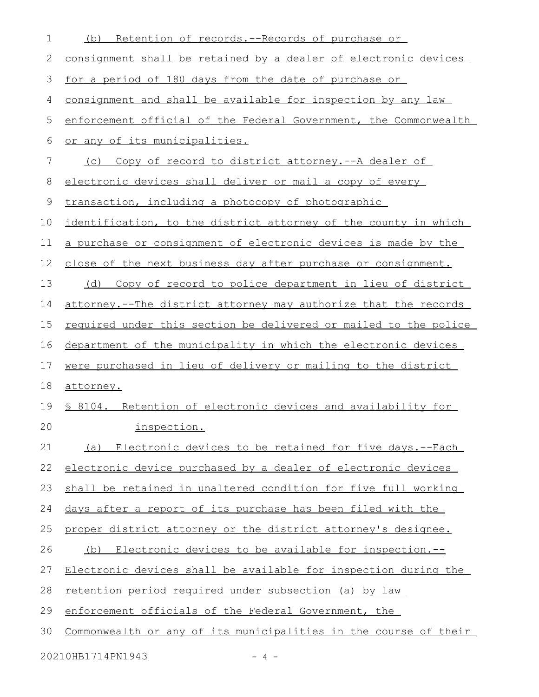| 1  | Retention of records.--Records of purchase or<br>(b)             |
|----|------------------------------------------------------------------|
| 2  | consignment shall be retained by a dealer of electronic devices  |
| 3  | for a period of 180 days from the date of purchase or            |
| 4  | consignment and shall be available for inspection by any law     |
| 5  | enforcement official of the Federal Government, the Commonwealth |
| 6  | or any of its municipalities.                                    |
| 7  | (c) Copy of record to district attorney.--A dealer of            |
| 8  | electronic devices shall deliver or mail a copy of every         |
| 9  | transaction, including a photocopy of photographic               |
| 10 | identification, to the district attorney of the county in which  |
| 11 | a purchase or consignment of electronic devices is made by the   |
| 12 | close of the next business day after purchase or consignment.    |
| 13 | Copy of record to police department in lieu of district<br>(d)   |
| 14 | attorney.--The district attorney may authorize that the records  |
| 15 | required under this section be delivered or mailed to the police |
| 16 | department of the municipality in which the electronic devices   |
| 17 | were purchased in lieu of delivery or mailing to the district    |
| 18 | attorney.                                                        |
| 19 | § 8104. Retention of electronic devices and availability for     |
| 20 | inspection.                                                      |
| 21 | (a) Electronic devices to be retained for five days.--Each       |
| 22 | electronic device purchased by a dealer of electronic devices    |
| 23 | shall be retained in unaltered condition for five full working   |
| 24 | days after a report of its purchase has been filed with the      |
| 25 | proper district attorney or the district attorney's designee.    |
| 26 | (b) Electronic devices to be available for inspection.--         |
| 27 | Electronic devices shall be available for inspection during the  |
| 28 | retention period required under subsection (a) by law            |
| 29 | enforcement officials of the Federal Government, the             |
| 30 | Commonwealth or any of its municipalities in the course of their |
|    | 20210HB1714PN1943<br>$-4-$                                       |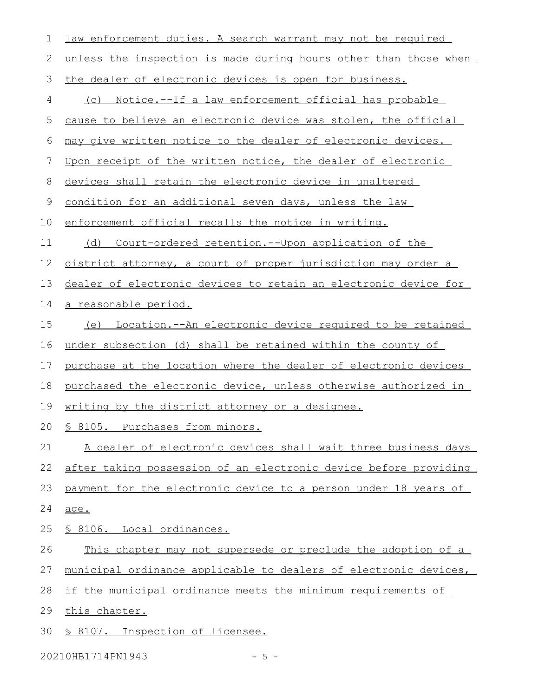| 1           | law enforcement duties. A search warrant may not be required       |
|-------------|--------------------------------------------------------------------|
| 2           | unless the inspection is made during hours other than those when   |
| 3           | the dealer of electronic devices is open for business.             |
| 4           | (c) Notice.--If a law enforcement official has probable            |
| 5           | cause to believe an electronic device was stolen, the official     |
| 6           | may give written notice to the dealer of electronic devices.       |
| 7           | Upon receipt of the written notice, the dealer of electronic       |
| 8           | devices shall retain the electronic device in unaltered            |
| $\mathsf 9$ | condition for an additional seven days, unless the law             |
| 10          | enforcement official recalls the notice in writing.                |
| 11          | <u>Court-ordered retention.--Upon application of the</u><br>(d)    |
| 12          | district attorney, a court of proper jurisdiction may order a      |
| 13          | dealer of electronic devices to retain an electronic device for    |
| 14          | <u>a reasonable period.</u>                                        |
| 15          | <u>(e) Location.--An electronic device required to be retained</u> |
| 16          | under subsection (d) shall be retained within the county of        |
| 17          | purchase at the location where the dealer of electronic devices    |
| 18          | purchased the electronic device, unless otherwise authorized in    |
| 19          | <u>writing by the district attorney or a designee.</u>             |
| 20          | § 8105. Purchases from minors.                                     |
| 21          | A dealer of electronic devices shall wait three business days      |
| 22          | after taking possession of an electronic device before providing   |
| 23          | payment for the electronic device to a person under 18 years of    |
| 24          | age.                                                               |
| 25          | <u>S 8106. Local ordinances.</u>                                   |
| 26          | This chapter may not supersede or preclude the adoption of a       |
| 27          | municipal ordinance applicable to dealers of electronic devices,   |
| 28          | if the municipal ordinance meets the minimum requirements of       |
| 29          | this chapter.                                                      |
| 30          | § 8107. Inspection of licensee.                                    |
|             |                                                                    |

20210HB1714PN1943 - 5 -